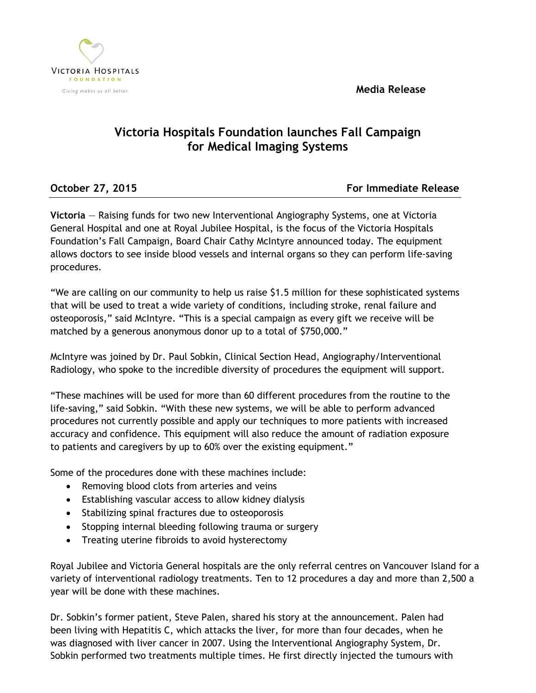**Media Release**



## **Victoria Hospitals Foundation launches Fall Campaign for Medical Imaging Systems**

**October 27, 2015 For Immediate Release** 

**Victoria** — Raising funds for two new Interventional Angiography Systems, one at Victoria General Hospital and one at Royal Jubilee Hospital, is the focus of the Victoria Hospitals Foundation's Fall Campaign, Board Chair Cathy McIntyre announced today. The equipment allows doctors to see inside blood vessels and internal organs so they can perform life-saving procedures.

"We are calling on our community to help us raise \$1.5 million for these sophisticated systems that will be used to treat a wide variety of conditions, including stroke, renal failure and osteoporosis," said McIntyre. "This is a special campaign as every gift we receive will be matched by a generous anonymous donor up to a total of \$750,000."

McIntyre was joined by Dr. Paul Sobkin, Clinical Section Head, Angiography/Interventional Radiology, who spoke to the incredible diversity of procedures the equipment will support.

"These machines will be used for more than 60 different procedures from the routine to the life-saving," said Sobkin. "With these new systems, we will be able to perform advanced procedures not currently possible and apply our techniques to more patients with increased accuracy and confidence. This equipment will also reduce the amount of radiation exposure to patients and caregivers by up to 60% over the existing equipment."

Some of the procedures done with these machines include:

- Removing blood clots from arteries and veins
- Establishing vascular access to allow kidney dialysis
- Stabilizing spinal fractures due to osteoporosis
- Stopping internal bleeding following trauma or surgery
- Treating uterine fibroids to avoid hysterectomy

Royal Jubilee and Victoria General hospitals are the only referral centres on Vancouver Island for a variety of interventional radiology treatments. Ten to 12 procedures a day and more than 2,500 a year will be done with these machines.

Dr. Sobkin's former patient, Steve Palen, shared his story at the announcement. Palen had been living with Hepatitis C, which attacks the liver, for more than four decades, when he was diagnosed with liver cancer in 2007. Using the Interventional Angiography System, Dr. Sobkin performed two treatments multiple times. He first directly injected the tumours with